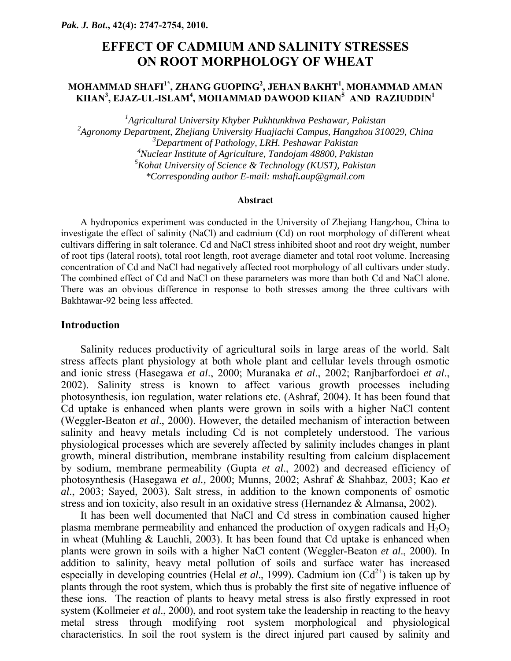# **EFFECT OF CADMIUM AND SALINITY STRESSES ON ROOT MORPHOLOGY OF WHEAT**

#### **MOHAMMAD SHAFI1\*, ZHANG GUOPING2 , JEHAN BAKHT1 , MOHAMMAD AMAN KHAN3 , EJAZ-UL-ISLAM4 , MOHAMMAD DAWOOD KHAN<sup>5</sup> AND RAZIUDDIN1**

 *Agricultural University Khyber Pukhtunkhwa Peshawar, Pakistan Agronomy Department, Zhejiang University Huajiachi Campus, Hangzhou 310029, China Department of Pathology, LRH. Peshawar Pakistan Nuclear Institute of Agriculture, Tandojam 48800, Pakistan Kohat University of Science & Technology (KUST), Pakistan \*Corresponding author E-mail: mshafi.aup@gmail.com* 

#### **Abstract**

A hydroponics experiment was conducted in the University of Zhejiang Hangzhou, China to investigate the effect of salinity (NaCl) and cadmium (Cd) on root morphology of different wheat cultivars differing in salt tolerance. Cd and NaCl stress inhibited shoot and root dry weight, number of root tips (lateral roots), total root length, root average diameter and total root volume. Increasing concentration of Cd and NaCl had negatively affected root morphology of all cultivars under study. The combined effect of Cd and NaCl on these parameters was more than both Cd and NaCl alone. There was an obvious difference in response to both stresses among the three cultivars with Bakhtawar-92 being less affected.

#### **Introduction**

Salinity reduces productivity of agricultural soils in large areas of the world. Salt stress affects plant physiology at both whole plant and cellular levels through osmotic and ionic stress (Hasegawa *et al*., 2000; Muranaka *et al*., 2002; Ranjbarfordoei *et al*., 2002). Salinity stress is known to affect various growth processes including photosynthesis, ion regulation, water relations etc. (Ashraf, 2004). It has been found that Cd uptake is enhanced when plants were grown in soils with a higher NaCl content (Weggler-Beaton *et al*., 2000). However, the detailed mechanism of interaction between salinity and heavy metals including Cd is not completely understood. The various physiological processes which are severely affected by salinity includes changes in plant growth, mineral distribution, membrane instability resulting from calcium displacement by sodium, membrane permeability (Gupta *et al*., 2002) and decreased efficiency of photosynthesis (Hasegawa *et al.,* 2000; Munns, 2002; Ashraf & Shahbaz, 2003; Kao *et al*., 2003; Sayed, 2003). Salt stress, in addition to the known components of osmotic stress and ion toxicity, also result in an oxidative stress (Hernandez & Almansa, 2002).

It has been well documented that NaCl and Cd stress in combination caused higher plasma membrane permeability and enhanced the production of oxygen radicals and  $H_2O_2$ in wheat (Muhling & Lauchli, 2003). It has been found that Cd uptake is enhanced when plants were grown in soils with a higher NaCl content (Weggler-Beaton *et al*., 2000). In addition to salinity, heavy metal pollution of soils and surface water has increased especially in developing countries (Helal *et al.*, 1999). Cadmium ion  $(Cd^{2+})$  is taken up by plants through the root system, which thus is probably the first site of negative influence of these ions. The reaction of plants to heavy metal stress is also firstly expressed in root system (Kollmeier *et al*., 2000), and root system take the leadership in reacting to the heavy metal stress through modifying root system morphological and physiological characteristics. In soil the root system is the direct injured part caused by salinity and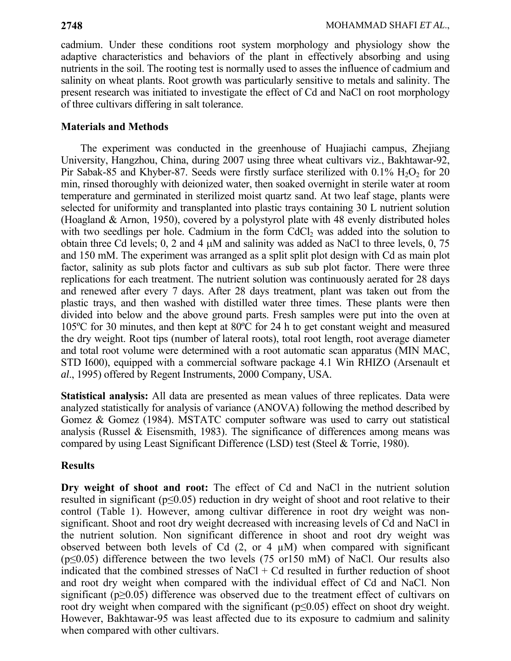cadmium. Under these conditions root system morphology and physiology show the adaptive characteristics and behaviors of the plant in effectively absorbing and using nutrients in the soil. The rooting test is normally used to asses the influence of cadmium and salinity on wheat plants. Root growth was particularly sensitive to metals and salinity. The present research was initiated to investigate the effect of Cd and NaCl on root morphology of three cultivars differing in salt tolerance.

### **Materials and Methods**

The experiment was conducted in the greenhouse of Huajiachi campus, Zhejiang University, Hangzhou, China, during 2007 using three wheat cultivars viz., Bakhtawar-92, Pir Sabak-85 and Khyber-87. Seeds were firstly surface sterilized with  $0.1\%$  H<sub>2</sub>O<sub>2</sub> for 20 min, rinsed thoroughly with deionized water, then soaked overnight in sterile water at room temperature and germinated in sterilized moist quartz sand. At two leaf stage, plants were selected for uniformity and transplanted into plastic trays containing 30 L nutrient solution (Hoagland & Arnon, 1950), covered by a polystyrol plate with 48 evenly distributed holes with two seedlings per hole. Cadmium in the form CdCl<sub>2</sub> was added into the solution to obtain three Cd levels; 0, 2 and 4 μM and salinity was added as NaCl to three levels, 0, 75 and 150 mM. The experiment was arranged as a split split plot design with Cd as main plot factor, salinity as sub plots factor and cultivars as sub sub plot factor. There were three replications for each treatment. The nutrient solution was continuously aerated for 28 days and renewed after every 7 days. After 28 days treatment, plant was taken out from the plastic trays, and then washed with distilled water three times. These plants were then divided into below and the above ground parts. Fresh samples were put into the oven at 105ºC for 30 minutes, and then kept at 80ºC for 24 h to get constant weight and measured the dry weight. Root tips (number of lateral roots), total root length, root average diameter and total root volume were determined with a root automatic scan apparatus (MIN MAC, STD I600), equipped with a commercial software package 4.1 Win RHIZO (Arsenault et *al*., 1995) offered by Regent Instruments, 2000 Company, USA.

**Statistical analysis:** All data are presented as mean values of three replicates. Data were analyzed statistically for analysis of variance (ANOVA) following the method described by Gomez & Gomez (1984). MSTATC computer software was used to carry out statistical analysis (Russel & Eisensmith, 1983). The significance of differences among means was compared by using Least Significant Difference (LSD) test (Steel & Torrie, 1980).

## **Results**

**Dry weight of shoot and root:** The effect of Cd and NaCl in the nutrient solution resulted in significant ( $p \le 0.05$ ) reduction in dry weight of shoot and root relative to their control (Table 1). However, among cultivar difference in root dry weight was nonsignificant. Shoot and root dry weight decreased with increasing levels of Cd and NaCl in the nutrient solution. Non significant difference in shoot and root dry weight was observed between both levels of Cd  $(2, or 4 \mu M)$  when compared with significant ( $p \le 0.05$ ) difference between the two levels (75 or150 mM) of NaCl. Our results also indicated that the combined stresses of  $NaCl + Cd$  resulted in further reduction of shoot and root dry weight when compared with the individual effect of Cd and NaCl. Non significant (p≥0.05) difference was observed due to the treatment effect of cultivars on root dry weight when compared with the significant ( $p \le 0.05$ ) effect on shoot dry weight. However, Bakhtawar-95 was least affected due to its exposure to cadmium and salinity when compared with other cultivars.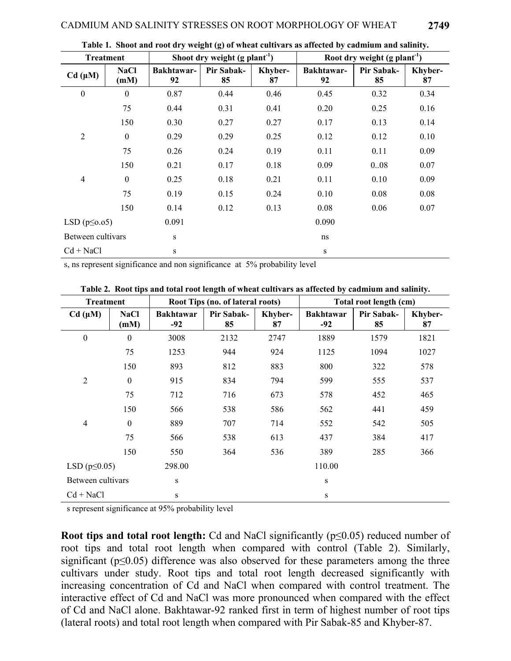| <b>Treatment</b>    |                     | Shoot dry weight $(g$ plant <sup>-1</sup> ) |                  |               | Root dry weight $(g$ plant <sup>-1</sup> ) |                  |               |
|---------------------|---------------------|---------------------------------------------|------------------|---------------|--------------------------------------------|------------------|---------------|
| Cd (µM)             | <b>NaCl</b><br>(mM) | <b>Bakhtawar-</b><br>92                     | Pir Sabak-<br>85 | Khyber-<br>87 | Bakhtawar-<br>92                           | Pir Sabak-<br>85 | Khyber-<br>87 |
| $\boldsymbol{0}$    | $\boldsymbol{0}$    | 0.87                                        | 0.44             | 0.46          | 0.45                                       | 0.32             | 0.34          |
|                     | 75                  | 0.44                                        | 0.31             | 0.41          | 0.20                                       | 0.25             | 0.16          |
|                     | 150                 | 0.30                                        | 0.27             | 0.27          | 0.17                                       | 0.13             | 0.14          |
| $\overline{2}$      | $\theta$            | 0.29                                        | 0.29             | 0.25          | 0.12                                       | 0.12             | 0.10          |
|                     | 75                  | 0.26                                        | 0.24             | 0.19          | 0.11                                       | 0.11             | 0.09          |
|                     | 150                 | 0.21                                        | 0.17             | 0.18          | 0.09                                       | 0.08             | 0.07          |
| $\overline{4}$      | $\mathbf{0}$        | 0.25                                        | 0.18             | 0.21          | 0.11                                       | 0.10             | 0.09          |
|                     | 75                  | 0.19                                        | 0.15             | 0.24          | 0.10                                       | 0.08             | 0.08          |
|                     | 150                 | 0.14                                        | 0.12             | 0.13          | 0.08                                       | 0.06             | 0.07          |
| LSD $(p \leq 0.05)$ |                     | 0.091                                       |                  |               | 0.090                                      |                  |               |
| Between cultivars   |                     | S                                           |                  |               | ns                                         |                  |               |
| $Cd + NaCl$         |                     | S                                           |                  |               | S                                          |                  |               |

**Table 1. Shoot and root dry weight (g) of wheat cultivars as affected by cadmium and salinity.** 

s, ns represent significance and non significance at 5% probability level

**Table 2. Root tips and total root length of wheat cultivars as affected by cadmium and salinity.** 

| <b>Treatment</b>    |                     | Root Tips (no. of lateral roots) |                  |               | Total root length (cm)    |                         |               |
|---------------------|---------------------|----------------------------------|------------------|---------------|---------------------------|-------------------------|---------------|
| Cd (µM)             | <b>NaCl</b><br>(mM) | <b>Bakhtawar</b><br>$-92$        | Pir Sabak-<br>85 | Khyber-<br>87 | <b>Bakhtawar</b><br>$-92$ | <b>Pir Sabak-</b><br>85 | Khyber-<br>87 |
| $\boldsymbol{0}$    | $\boldsymbol{0}$    | 3008                             | 2132             | 2747          | 1889                      | 1579                    | 1821          |
|                     | 75                  | 1253                             | 944              | 924           | 1125                      | 1094                    | 1027          |
|                     | 150                 | 893                              | 812              | 883           | 800                       | 322                     | 578           |
| $\overline{2}$      | $\overline{0}$      | 915                              | 834              | 794           | 599                       | 555                     | 537           |
|                     | 75                  | 712                              | 716              | 673           | 578                       | 452                     | 465           |
|                     | 150                 | 566                              | 538              | 586           | 562                       | 441                     | 459           |
| $\overline{4}$      | $\boldsymbol{0}$    | 889                              | 707              | 714           | 552                       | 542                     | 505           |
|                     | 75                  | 566                              | 538              | 613           | 437                       | 384                     | 417           |
|                     | 150                 | 550                              | 364              | 536           | 389                       | 285                     | 366           |
| LSD $(p \leq 0.05)$ |                     | 298.00                           |                  |               | 110.00                    |                         |               |
| Between cultivars   |                     | S                                |                  |               | S                         |                         |               |
| $Cd + NaCl$         |                     | S                                |                  |               | S                         |                         |               |

s represent significance at 95% probability level

**Root tips and total root length:** Cd and NaCl significantly (p≤0.05) reduced number of root tips and total root length when compared with control (Table 2). Similarly, significant ( $p \leq 0.05$ ) difference was also observed for these parameters among the three cultivars under study. Root tips and total root length decreased significantly with increasing concentration of Cd and NaCl when compared with control treatment. The interactive effect of Cd and NaCl was more pronounced when compared with the effect of Cd and NaCl alone. Bakhtawar-92 ranked first in term of highest number of root tips (lateral roots) and total root length when compared with Pir Sabak-85 and Khyber-87.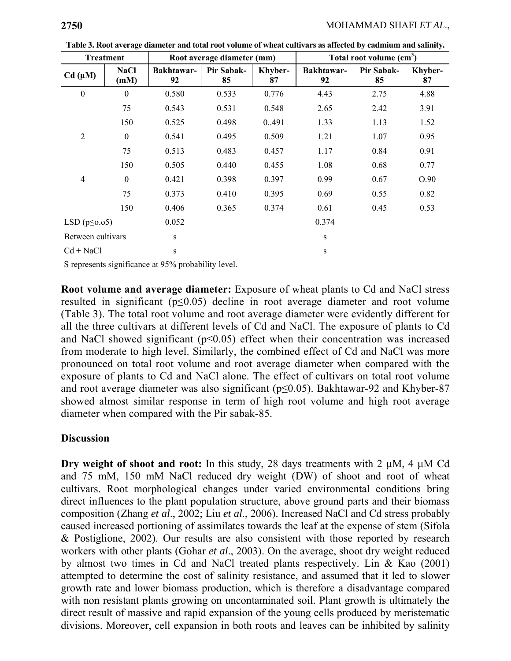| Treatment           |                     | Root average diameter (mm) |                  |               | Total root volume $(cm3)$ |                  |               |
|---------------------|---------------------|----------------------------|------------------|---------------|---------------------------|------------------|---------------|
| Cd (µM)             | <b>NaCl</b><br>(mM) | Bakhtawar-<br>92           | Pir Sabak-<br>85 | Khyber-<br>87 | Bakhtawar-<br>92          | Pir Sabak-<br>85 | Khyber-<br>87 |
| $\boldsymbol{0}$    | $\boldsymbol{0}$    | 0.580                      | 0.533            | 0.776         | 4.43                      | 2.75             | 4.88          |
|                     | 75                  | 0.543                      | 0.531            | 0.548         | 2.65                      | 2.42             | 3.91          |
|                     | 150                 | 0.525                      | 0.498            | 0.491         | 1.33                      | 1.13             | 1.52          |
| $\overline{2}$      | $\boldsymbol{0}$    | 0.541                      | 0.495            | 0.509         | 1.21                      | 1.07             | 0.95          |
|                     | 75                  | 0.513                      | 0.483            | 0.457         | 1.17                      | 0.84             | 0.91          |
|                     | 150                 | 0.505                      | 0.440            | 0.455         | 1.08                      | 0.68             | 0.77          |
| $\overline{4}$      | $\boldsymbol{0}$    | 0.421                      | 0.398            | 0.397         | 0.99                      | 0.67             | O.90          |
|                     | 75                  | 0.373                      | 0.410            | 0.395         | 0.69                      | 0.55             | 0.82          |
|                     | 150                 | 0.406                      | 0.365            | 0.374         | 0.61                      | 0.45             | 0.53          |
| LSD $(p \leq 0.05)$ |                     | 0.052                      |                  |               | 0.374                     |                  |               |
| Between cultivars   |                     | S                          |                  |               | S                         |                  |               |
| $Cd + NaCl$         |                     | S                          |                  |               | S                         |                  |               |

**Table 3. Root average diameter and total root volume of wheat cultivars as affected by cadmium and salinity.** 

S represents significance at 95% probability level.

**Root volume and average diameter:** Exposure of wheat plants to Cd and NaCl stress resulted in significant (p≤0.05) decline in root average diameter and root volume (Table 3). The total root volume and root average diameter were evidently different for all the three cultivars at different levels of Cd and NaCl. The exposure of plants to Cd and NaCl showed significant ( $p \le 0.05$ ) effect when their concentration was increased from moderate to high level. Similarly, the combined effect of Cd and NaCl was more pronounced on total root volume and root average diameter when compared with the exposure of plants to Cd and NaCl alone. The effect of cultivars on total root volume and root average diameter was also significant ( $p \le 0.05$ ). Bakhtawar-92 and Khyber-87 showed almost similar response in term of high root volume and high root average diameter when compared with the Pir sabak-85.

### **Discussion**

**Dry weight of shoot and root:** In this study, 28 days treatments with 2 μM, 4 μM Cd and 75 mM, 150 mM NaCl reduced dry weight (DW) of shoot and root of wheat cultivars. Root morphological changes under varied environmental conditions bring direct influences to the plant population structure, above ground parts and their biomass composition (Zhang *et al*., 2002; Liu *et al*., 2006). Increased NaCl and Cd stress probably caused increased portioning of assimilates towards the leaf at the expense of stem (Sifola & Postiglione, 2002). Our results are also consistent with those reported by research workers with other plants (Gohar *et al*., 2003). On the average, shoot dry weight reduced by almost two times in Cd and NaCl treated plants respectively. Lin & Kao (2001) attempted to determine the cost of salinity resistance, and assumed that it led to slower growth rate and lower biomass production, which is therefore a disadvantage compared with non resistant plants growing on uncontaminated soil. Plant growth is ultimately the direct result of massive and rapid expansion of the young cells produced by meristematic divisions. Moreover, cell expansion in both roots and leaves can be inhibited by salinity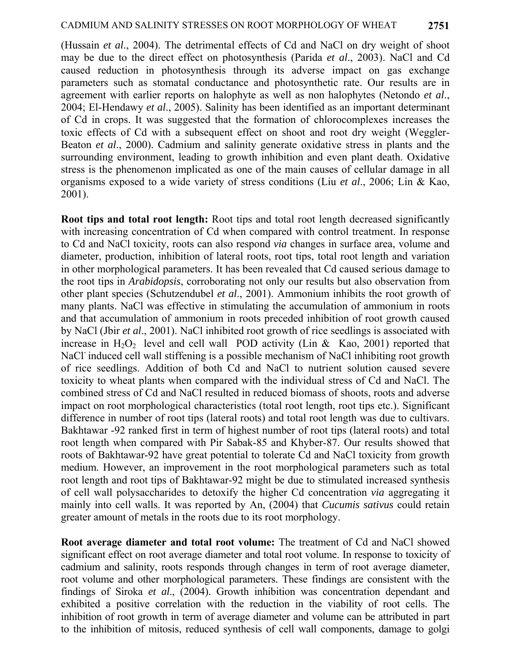(Hussain *et al*., 2004). The detrimental effects of Cd and NaCl on dry weight of shoot may be due to the direct effect on photosynthesis (Parida *et al*., 2003). NaCl and Cd caused reduction in photosynthesis through its adverse impact on gas exchange parameters such as stomatal conductance and photosynthetic rate. Our results are in agreement with earlier reports on halophyte as well as non halophytes (Netondo *et al*., 2004; El-Hendawy *et al*., 2005). Salinity has been identified as an important determinant of Cd in crops. It was suggested that the formation of chlorocomplexes increases the toxic effects of Cd with a subsequent effect on shoot and root dry weight (Weggler-Beaton *et al*., 2000). Cadmium and salinity generate oxidative stress in plants and the surrounding environment, leading to growth inhibition and even plant death. Oxidative stress is the phenomenon implicated as one of the main causes of cellular damage in all organisms exposed to a wide variety of stress conditions (Liu *et al*., 2006; Lin & Kao, 2001).

**Root tips and total root length:** Root tips and total root length decreased significantly with increasing concentration of Cd when compared with control treatment. In response to Cd and NaCl toxicity, roots can also respond *via* changes in surface area, volume and diameter, production, inhibition of lateral roots, root tips, total root length and variation in other morphological parameters. It has been revealed that Cd caused serious damage to the root tips in *Arabidopsis*, corroborating not only our results but also observation from other plant species (Schutzendubel *et al*., 2001). Ammonium inhibits the root growth of many plants. NaCl was effective in stimulating the accumulation of ammonium in roots and that accumulation of ammonium in roots preceded inhibition of root growth caused by NaCl (Jbir *et al*., 2001). NaCl inhibited root growth of rice seedlings is associated with increase in  $H_2O_2$  level and cell wall POD activity (Lin & Kao, 2001) reported that NaCl<sup>-</sup> induced cell wall stiffening is a possible mechanism of NaCl inhibiting root growth of rice seedlings. Addition of both Cd and NaCl to nutrient solution caused severe toxicity to wheat plants when compared with the individual stress of Cd and NaCl. The combined stress of Cd and NaCl resulted in reduced biomass of shoots, roots and adverse impact on root morphological characteristics (total root length, root tips etc.). Significant difference in number of root tips (lateral roots) and total root length was due to cultivars. Bakhtawar -92 ranked first in term of highest number of root tips (lateral roots) and total root length when compared with Pir Sabak-85 and Khyber-87. Our results showed that roots of Bakhtawar-92 have great potential to tolerate Cd and NaCl toxicity from growth medium. However, an improvement in the root morphological parameters such as total root length and root tips of Bakhtawar-92 might be due to stimulated increased synthesis of cell wall polysaccharides to detoxify the higher Cd concentration *via* aggregating it mainly into cell walls. It was reported by An, (2004) that *Cucumis sativus* could retain greater amount of metals in the roots due to its root morphology.

**Root average diameter and total root volume:** The treatment of Cd and NaCl showed significant effect on root average diameter and total root volume. In response to toxicity of cadmium and salinity, roots responds through changes in term of root average diameter, root volume and other morphological parameters. These findings are consistent with the findings of Siroka *et al*., (2004). Growth inhibition was concentration dependant and exhibited a positive correlation with the reduction in the viability of root cells. The inhibition of root growth in term of average diameter and volume can be attributed in part to the inhibition of mitosis, reduced synthesis of cell wall components, damage to golgi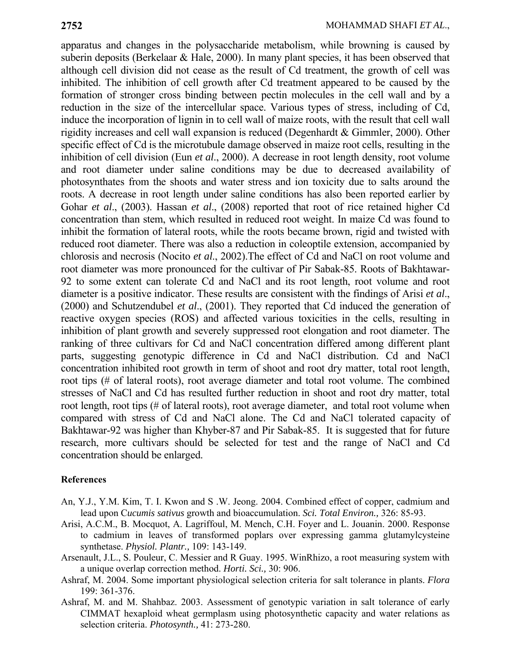apparatus and changes in the polysaccharide metabolism, while browning is caused by suberin deposits (Berkelaar & Hale, 2000). In many plant species, it has been observed that although cell division did not cease as the result of Cd treatment, the growth of cell was inhibited. The inhibition of cell growth after Cd treatment appeared to be caused by the formation of stronger cross binding between pectin molecules in the cell wall and by a reduction in the size of the intercellular space. Various types of stress, including of Cd, induce the incorporation of lignin in to cell wall of maize roots, with the result that cell wall rigidity increases and cell wall expansion is reduced (Degenhardt & Gimmler, 2000). Other specific effect of Cd is the microtubule damage observed in maize root cells, resulting in the inhibition of cell division (Eun *et al*., 2000). A decrease in root length density, root volume and root diameter under saline conditions may be due to decreased availability of photosynthates from the shoots and water stress and ion toxicity due to salts around the roots. A decrease in root length under saline conditions has also been reported earlier by Gohar *et al*., (2003). Hassan *et al*., (2008) reported that root of rice retained higher Cd concentration than stem, which resulted in reduced root weight. In maize Cd was found to inhibit the formation of lateral roots, while the roots became brown, rigid and twisted with reduced root diameter. There was also a reduction in coleoptile extension, accompanied by chlorosis and necrosis (Nocito *et al*., 2002).The effect of Cd and NaCl on root volume and root diameter was more pronounced for the cultivar of Pir Sabak-85. Roots of Bakhtawar-92 to some extent can tolerate Cd and NaCl and its root length, root volume and root diameter is a positive indicator. These results are consistent with the findings of Arisi *et al*., (2000) and Schutzendubel *et al*., (2001). They reported that Cd induced the generation of reactive oxygen species (ROS) and affected various toxicities in the cells, resulting in inhibition of plant growth and severely suppressed root elongation and root diameter. The ranking of three cultivars for Cd and NaCl concentration differed among different plant parts, suggesting genotypic difference in Cd and NaCl distribution. Cd and NaCl concentration inhibited root growth in term of shoot and root dry matter, total root length, root tips (# of lateral roots), root average diameter and total root volume. The combined stresses of NaCl and Cd has resulted further reduction in shoot and root dry matter, total root length, root tips (# of lateral roots), root average diameter, and total root volume when compared with stress of Cd and NaCl alone. The Cd and NaCl tolerated capacity of Bakhtawar-92 was higher than Khyber-87 and Pir Sabak-85. It is suggested that for future research, more cultivars should be selected for test and the range of NaCl and Cd concentration should be enlarged.

### **References**

- An, Y.J., Y.M. Kim, T. I. Kwon and S .W. Jeong. 2004. Combined effect of copper, cadmium and lead upon C*ucumis sativus* growth and bioaccumulation. *Sci. Total Environ.,* 326: 85-93.
- Arisi, A.C.M., B. Mocquot, A. Lagriffoul, M. Mench, C.H. Foyer and L. Jouanin. 2000. Response to cadmium in leaves of transformed poplars over expressing gamma glutamylcysteine synthetase. *Physiol. Plantr.,* 109: 143-149.
- Arsenault, J.L., S. Pouleur, C. Messier and R Guay. 1995. WinRhizo, a root measuring system with a unique overlap correction method. *Horti. Sci.,* 30: 906.
- Ashraf, M. 2004. Some important physiological selection criteria for salt tolerance in plants. *Flora* 199: 361-376.
- Ashraf, M. and M. Shahbaz. 2003. Assessment of genotypic variation in salt tolerance of early CIMMAT hexaploid wheat germplasm using photosynthetic capacity and water relations as selection criteria. *Photosynth.,* 41: 273-280.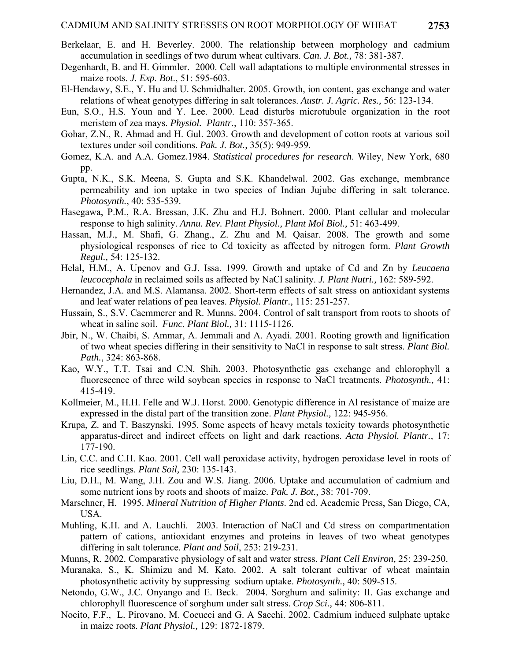- Berkelaar, E. and H. Beverley. 2000. The relationship between morphology and cadmium accumulation in seedlings of two durum wheat cultivars. *Can. J. Bot.,* 78: 381-387.
- Degenhardt, B. and H. Gimmler. 2000. Cell wall adaptations to multiple environmental stresses in maize roots. *J. Exp. Bot*., 51: 595-603.
- El-Hendawy, S.E., Y. Hu and U. Schmidhalter. 2005. Growth, ion content, gas exchange and water relations of wheat genotypes differing in salt tolerances. *Austr. J. Agric. Res.,* 56: 123-134.
- Eun, S.O., H.S. Youn and Y. Lee. 2000. Lead disturbs microtubule organization in the root meristem of zea mays. *Physiol. Plantr.,* 110: 357-365.
- Gohar, Z.N., R. Ahmad and H. Gul. 2003. Growth and development of cotton roots at various soil textures under soil conditions. *Pak. J. Bot.,* 35(5): 949-959.
- Gomez, K.A. and A.A. Gomez.1984. *Statistical procedures for research*. Wiley, New York, 680 pp.
- Gupta, N.K., S.K. Meena, S. Gupta and S.K. Khandelwal. 2002. Gas exchange, membrance permeability and ion uptake in two species of Indian Jujube differing in salt tolerance. *Photosynth.*, 40: 535-539.
- Hasegawa, P.M., R.A. Bressan, J.K. Zhu and H.J. Bohnert. 2000. Plant cellular and molecular response to high salinity. *Annu. Rev. Plant Physiol., Plant Mol Biol.,* 51: 463-499.
- Hassan, M.J., M. Shafi, G. Zhang., Z. Zhu and M. Qaisar. 2008. The growth and some physiological responses of rice to Cd toxicity as affected by nitrogen form. *Plant Growth Regul.,* 54: 125-132.
- Helal, H.M., A. Upenov and G.J. Issa. 1999. Growth and uptake of Cd and Zn by *Leucaena leucocephala* in reclaimed soils as affected by NaCl salinity. *J. Plant Nutri.,* 162: 589-592.
- Hernandez, J.A. and M.S. Alamansa. 2002. Short-term effects of salt stress on antioxidant systems and leaf water relations of pea leaves. *Physiol. Plantr.,* 115: 251-257.
- Hussain, S., S.V. Caemmerer and R. Munns. 2004. Control of salt transport from roots to shoots of wheat in saline soil. *Func. Plant Biol.,* 31: 1115-1126.
- Jbir, N., W. Chaibi, S. Ammar, A. Jemmali and A. Ayadi. 2001. Rooting growth and lignification of two wheat species differing in their sensitivity to NaCl in response to salt stress. *Plant Biol. Path.*, 324: 863-868.
- Kao, W.Y., T.T. Tsai and C.N. Shih. 2003. Photosynthetic gas exchange and chlorophyll a fluorescence of three wild soybean species in response to NaCl treatments. *Photosynth.,* 41: 415-419.
- Kollmeier, M., H.H. Felle and W.J. Horst. 2000. Genotypic difference in Al resistance of maize are expressed in the distal part of the transition zone. *Plant Physiol.,* 122: 945-956.
- Krupa, Z. and T. Baszynski. 1995. Some aspects of heavy metals toxicity towards photosynthetic apparatus-direct and indirect effects on light and dark reactions. *Acta Physiol. Plantr.,* 17: 177-190.
- Lin, C.C. and C.H. Kao. 2001. Cell wall peroxidase activity, hydrogen peroxidase level in roots of rice seedlings. *Plant Soil,* 230: 135-143.
- Liu, D.H., M. Wang, J.H. Zou and W.S. Jiang. 2006. Uptake and accumulation of cadmium and some nutrient ions by roots and shoots of maize. *Pak. J. Bot.,* 38: 701-709.
- Marschner, H. 1995. *Mineral Nutrition of Higher Plants*. 2nd ed. Academic Press, San Diego, CA, USA.
- Muhling, K.H. and A. Lauchli. 2003. Interaction of NaCl and Cd stress on compartmentation pattern of cations, antioxidant enzymes and proteins in leaves of two wheat genotypes differing in salt tolerance. *Plant and Soil*, 253: 219-231.
- Munns, R. 2002. Comparative physiology of salt and water stress. *Plant Cell Environ,* 25: 239-250.
- Muranaka, S., K. Shimizu and M. Kato. 2002. A salt tolerant cultivar of wheat maintain photosynthetic activity by suppressing sodium uptake. *Photosynth.,* 40: 509-515.
- Netondo, G.W., J.C. Onyango and E. Beck. 2004. Sorghum and salinity: II. Gas exchange and chlorophyll fluorescence of sorghum under salt stress. *Crop Sci.,* 44: 806-811.
- Nocito, F.F., L. Pirovano, M. Cocucci and G. A Sacchi. 2002. Cadmium induced sulphate uptake in maize roots. *Plant Physiol.,* 129: 1872-1879.